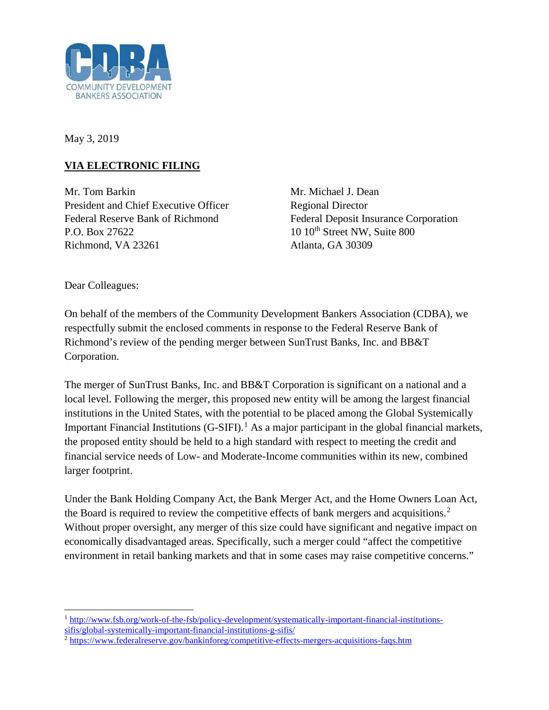

May 3, 2019

## **VIA ELECTRONIC FILING**

Mr. Tom Barkin Mr. Michael J. Dean President and Chief Executive Officer Regional Director P.O. Box 27622 10 10<sup>th</sup> Street NW, Suite 800 Richmond, VA 23261 Atlanta, GA 30309

Federal Reserve Bank of Richmond Federal Deposit Insurance Corporation

Dear Colleagues:

On behalf of the members of the Community Development Bankers Association (CDBA), we respectfully submit the enclosed comments in response to the Federal Reserve Bank of Richmond's review of the pending merger between SunTrust Banks, Inc. and BB&T Corporation.

The merger of SunTrust Banks, Inc. and BB&T Corporation is significant on a national and a local level. Following the merger, this proposed new entity will be among the largest financial institutions in the United States, with the potential to be placed among the Global Systemically Important Financial Institutions  $(G-SIFI)^{1}$  $(G-SIFI)^{1}$  $(G-SIFI)^{1}$  As a major participant in the global financial markets, the proposed entity should be held to a high standard with respect to meeting the credit and financial service needs of Low- and Moderate-Income communities within its new, combined larger footprint.

Under the Bank Holding Company Act, the Bank Merger Act, and the Home Owners Loan Act, the Board is required to review the competitive effects of bank mergers and acquisitions.<sup>[2](#page-0-1)</sup> Without proper oversight, any merger of this size could have significant and negative impact on economically disadvantaged areas. Specifically, such a merger could "affect the competitive environment in retail banking markets and that in some cases may raise competitive concerns."

<span id="page-0-0"></span>l <sup>1</sup> [http://www.fsb.org/work-of-the-fsb/policy-development/systematically-important-financial-institutions](http://www.fsb.org/work-of-the-fsb/policy-development/systematically-important-financial-institutions-sifis/global-systemically-important-financial-institutions-g-sifis/)[sifis/global-systemically-important-financial-institutions-g-sifis/](http://www.fsb.org/work-of-the-fsb/policy-development/systematically-important-financial-institutions-sifis/global-systemically-important-financial-institutions-g-sifis/)

<span id="page-0-1"></span><sup>2</sup> <https://www.federalreserve.gov/bankinforeg/competitive-effects-mergers-acquisitions-faqs.htm>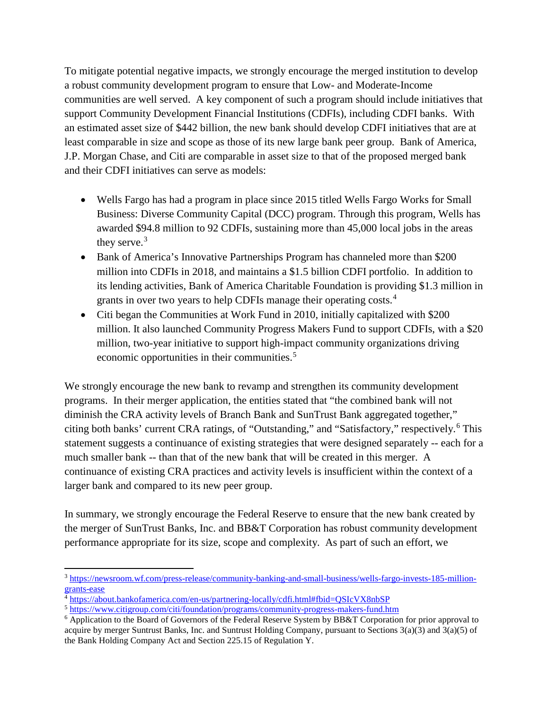To mitigate potential negative impacts, we strongly encourage the merged institution to develop a robust community development program to ensure that Low- and Moderate-Income communities are well served. A key component of such a program should include initiatives that support Community Development Financial Institutions (CDFIs), including CDFI banks. With an estimated asset size of \$442 billion, the new bank should develop CDFI initiatives that are at least comparable in size and scope as those of its new large bank peer group. Bank of America, J.P. Morgan Chase, and Citi are comparable in asset size to that of the proposed merged bank and their CDFI initiatives can serve as models:

- Wells Fargo has had a program in place since 2015 titled Wells Fargo Works for Small Business: Diverse Community Capital (DCC) program. Through this program, Wells has awarded \$94.8 million to 92 CDFIs, sustaining more than 45,000 local jobs in the areas they serve. $3$
- Bank of America's Innovative Partnerships Program has channeled more than \$200 million into CDFIs in 2018, and maintains a \$1.5 billion CDFI portfolio. In addition to its lending activities, Bank of America Charitable Foundation is providing \$1.3 million in grants in over two years to help CDFIs manage their operating costs.<sup>[4](#page-1-1)</sup>
- Citi began the Communities at Work Fund in 2010, initially capitalized with \$200 million. It also launched Community Progress Makers Fund to support CDFIs, with a \$20 million, two-year initiative to support high-impact community organizations driving economic opportunities in their communities.<sup>[5](#page-1-2)</sup>

We strongly encourage the new bank to revamp and strengthen its community development programs. In their merger application, the entities stated that "the combined bank will not diminish the CRA activity levels of Branch Bank and SunTrust Bank aggregated together," citing both banks' current CRA ratings, of "Outstanding," and "Satisfactory," respectively.[6](#page-1-3) This statement suggests a continuance of existing strategies that were designed separately -- each for a much smaller bank -- than that of the new bank that will be created in this merger. A continuance of existing CRA practices and activity levels is insufficient within the context of a larger bank and compared to its new peer group.

In summary, we strongly encourage the Federal Reserve to ensure that the new bank created by the merger of SunTrust Banks, Inc. and BB&T Corporation has robust community development performance appropriate for its size, scope and complexity. As part of such an effort, we

l

<span id="page-1-0"></span><sup>&</sup>lt;sup>3</sup> [https://newsroom.wf.com/press-release/community-banking-and-small-business/wells-fargo-invests-185-million](https://newsroom.wf.com/press-release/community-banking-and-small-business/wells-fargo-invests-185-million-grants-ease)[grants-ease](https://newsroom.wf.com/press-release/community-banking-and-small-business/wells-fargo-invests-185-million-grants-ease)

<span id="page-1-1"></span><sup>4</sup> <https://about.bankofamerica.com/en-us/partnering-locally/cdfi.html#fbid=QSIcVX8nbSP>

<span id="page-1-2"></span><sup>5</sup> <https://www.citigroup.com/citi/foundation/programs/community-progress-makers-fund.htm>

<span id="page-1-3"></span><sup>6</sup> Application to the Board of Governors of the Federal Reserve System by BB&T Corporation for prior approval to acquire by merger Suntrust Banks, Inc. and Suntrust Holding Company, pursuant to Sections 3(a)(3) and 3(a)(5) of the Bank Holding Company Act and Section 225.15 of Regulation Y.